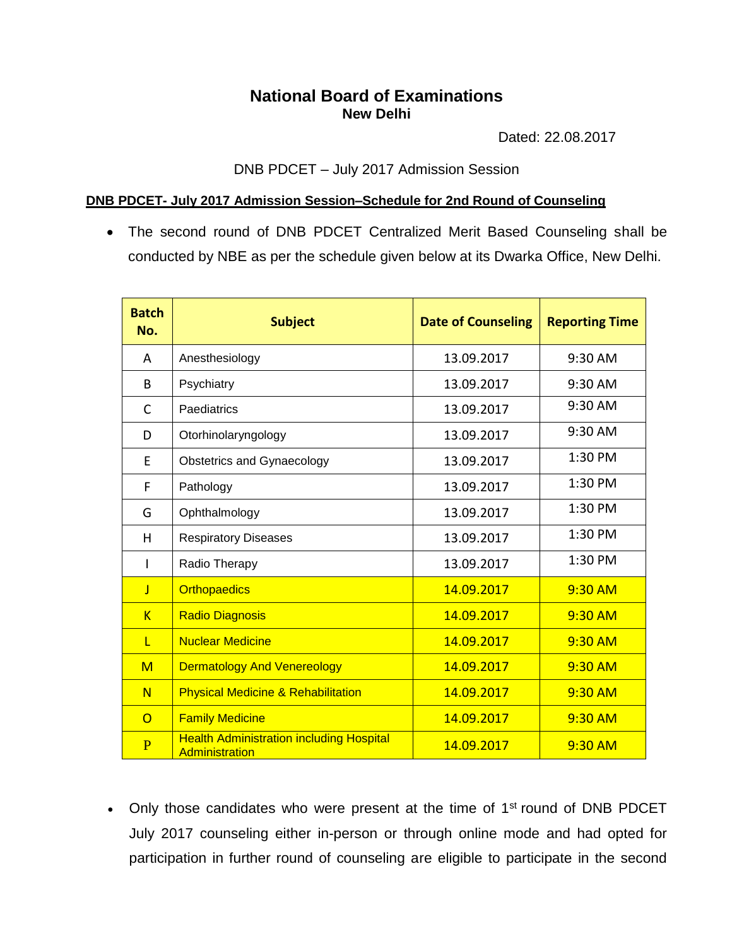## **National Board of Examinations New Delhi**

Dated: 22.08.2017

## DNB PDCET – July 2017 Admission Session

## **DNB PDCET- July 2017 Admission Session–Schedule for 2nd Round of Counseling**

• The second round of DNB PDCET Centralized Merit Based Counseling shall be conducted by NBE as per the schedule given below at its Dwarka Office, New Delhi.

| <b>Batch</b><br>No.     | <b>Subject</b>                                                    | <b>Date of Counseling</b> | <b>Reporting Time</b> |
|-------------------------|-------------------------------------------------------------------|---------------------------|-----------------------|
| A                       | Anesthesiology                                                    | 13.09.2017                | 9:30 AM               |
| B                       | Psychiatry                                                        | 13.09.2017                | 9:30 AM               |
| C                       | Paediatrics                                                       | 13.09.2017                | 9:30 AM               |
| D                       | Otorhinolaryngology                                               | 13.09.2017                | 9:30 AM               |
| E                       | Obstetrics and Gynaecology                                        | 13.09.2017                | 1:30 PM               |
| F                       | Pathology                                                         | 13.09.2017                | 1:30 PM               |
| G                       | Ophthalmology                                                     | 13.09.2017                | 1:30 PM               |
| H                       | <b>Respiratory Diseases</b>                                       | 13.09.2017                | 1:30 PM               |
|                         | Radio Therapy                                                     | 13.09.2017                | 1:30 PM               |
| T                       | <b>Orthopaedics</b>                                               | 14.09.2017                | 9:30 AM               |
| $\overline{\mathsf{K}}$ | <b>Radio Diagnosis</b>                                            | 14.09.2017                | 9:30 AM               |
| т                       | <b>Nuclear Medicine</b>                                           | 14.09.2017                | 9:30 AM               |
| M                       | <b>Dermatology And Venereology</b>                                | 14.09.2017                | 9:30 AM               |
| $\mathsf{N}$            | <b>Physical Medicine &amp; Rehabilitation</b>                     | 14.09.2017                | 9:30 AM               |
| $\overline{O}$          | <b>Family Medicine</b>                                            | 14.09.2017                | 9:30 AM               |
| $\overline{P}$          | <b>Health Administration including Hospital</b><br>Administration | 14.09.2017                | 9:30 AM               |

• Only those candidates who were present at the time of  $1<sup>st</sup>$  round of DNB PDCET July 2017 counseling either in-person or through online mode and had opted for participation in further round of counseling are eligible to participate in the second